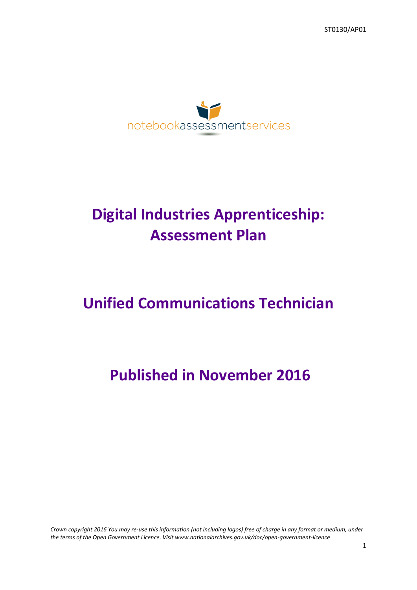ST0130/AP01



# **Digital Industries Apprenticeship: Assessment Plan**

## **Unified Communications Technician**

## **Published in November 2016**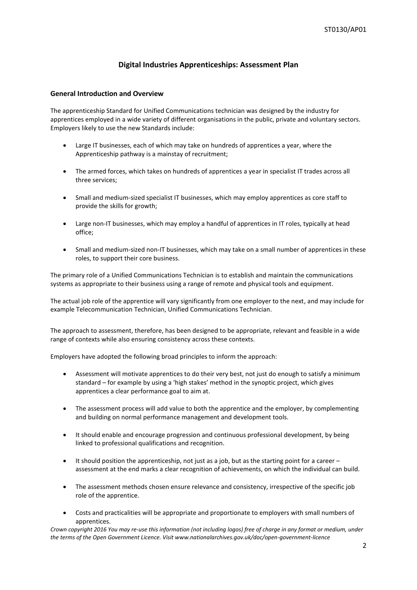## **Digital Industries Apprenticeships: Assessment Plan**

## **General Introduction and Overview**

The apprenticeship Standard for Unified Communications technician was designed by the industry for apprentices employed in a wide variety of different organisations in the public, private and voluntary sectors. Employers likely to use the new Standards include:

- Large IT businesses, each of which may take on hundreds of apprentices a year, where the Apprenticeship pathway is a mainstay of recruitment;
- The armed forces, which takes on hundreds of apprentices a year in specialist IT trades across all three services;
- Small and medium-sized specialist IT businesses, which may employ apprentices as core staff to provide the skills for growth;
- Large non-IT businesses, which may employ a handful of apprentices in IT roles, typically at head office;
- Small and medium-sized non-IT businesses, which may take on a small number of apprentices in these roles, to support their core business.

The primary role of a Unified Communications Technician is to establish and maintain the communications systems as appropriate to their business using a range of remote and physical tools and equipment.

The actual job role of the apprentice will vary significantly from one employer to the next, and may include for example Telecommunication Technician, Unified Communications Technician.

The approach to assessment, therefore, has been designed to be appropriate, relevant and feasible in a wide range of contexts while also ensuring consistency across these contexts.

Employers have adopted the following broad principles to inform the approach:

- Assessment will motivate apprentices to do their very best, not just do enough to satisfy a minimum standard – for example by using a 'high stakes' method in the synoptic project, which gives apprentices a clear performance goal to aim at.
- The assessment process will add value to both the apprentice and the employer, by complementing and building on normal performance management and development tools.
- It should enable and encourage progression and continuous professional development, by being linked to professional qualifications and recognition.
- $\bullet$  It should position the apprenticeship, not just as a job, but as the starting point for a career assessment at the end marks a clear recognition of achievements, on which the individual can build.
- The assessment methods chosen ensure relevance and consistency, irrespective of the specific job role of the apprentice.
- Costs and practicalities will be appropriate and proportionate to employers with small numbers of apprentices.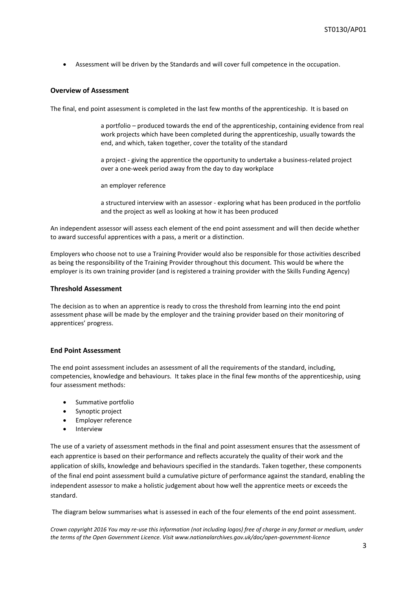Assessment will be driven by the Standards and will cover full competence in the occupation.

## **Overview of Assessment**

The final, end point assessment is completed in the last few months of the apprenticeship. It is based on

a portfolio – produced towards the end of the apprenticeship, containing evidence from real work projects which have been completed during the apprenticeship, usually towards the end, and which, taken together, cover the totality of the standard

a project - giving the apprentice the opportunity to undertake a business-related project over a one-week period away from the day to day workplace

an employer reference

a structured interview with an assessor - exploring what has been produced in the portfolio and the project as well as looking at how it has been produced

An independent assessor will assess each element of the end point assessment and will then decide whether to award successful apprentices with a pass, a merit or a distinction.

Employers who choose not to use a Training Provider would also be responsible for those activities described as being the responsibility of the Training Provider throughout this document. This would be where the employer is its own training provider (and is registered a training provider with the Skills Funding Agency)

## **Threshold Assessment**

The decision as to when an apprentice is ready to cross the threshold from learning into the end point assessment phase will be made by the employer and the training provider based on their monitoring of apprentices' progress.

## **End Point Assessment**

The end point assessment includes an assessment of all the requirements of the standard, including, competencies, knowledge and behaviours. It takes place in the final few months of the apprenticeship, using four assessment methods:

- Summative portfolio
- Synoptic project
- **•** Employer reference
- Interview

The use of a variety of assessment methods in the final and point assessment ensures that the assessment of each apprentice is based on their performance and reflects accurately the quality of their work and the application of skills, knowledge and behaviours specified in the standards. Taken together, these components of the final end point assessment build a cumulative picture of performance against the standard, enabling the independent assessor to make a holistic judgement about how well the apprentice meets or exceeds the standard.

The diagram below summarises what is assessed in each of the four elements of the end point assessment.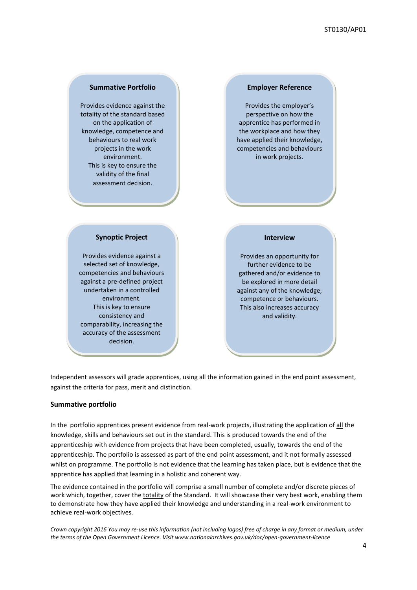## **Summative Portfolio**

Provides evidence against the totality of the standard based on the application of knowledge, competence and behaviours to real work projects in the work environment. This is key to ensure the validity of the final assessment decision.

## **Employer Reference**

Provides the employer's perspective on how the apprentice has performed in the workplace and how they have applied their knowledge, competencies and behaviours in work projects.

### **Synoptic Project**

Provides evidence against a selected set of knowledge, competencies and behaviours against a pre-defined project undertaken in a controlled environment. This is key to ensure consistency and comparability, increasing the accuracy of the assessment decision.

#### **Interview**

Provides an opportunity for further evidence to be gathered and/or evidence to be explored in more detail against any of the knowledge, competence or behaviours. This also increases accuracy and validity.

Independent assessors will grade apprentices, using all the information gained in the end point assessment, against the criteria for pass, merit and distinction.

## **Summative portfolio**

In the portfolio apprentices present evidence from real-work projects, illustrating the application of all the knowledge, skills and behaviours set out in the standard. This is produced towards the end of the apprenticeship with evidence from projects that have been completed, usually, towards the end of the apprenticeship. The portfolio is assessed as part of the end point assessment, and it not formally assessed whilst on programme. The portfolio is not evidence that the learning has taken place, but is evidence that the apprentice has applied that learning in a holistic and coherent way.

The evidence contained in the portfolio will comprise a small number of complete and/or discrete pieces of work which, together, cover the totality of the Standard. It will showcase their very best work, enabling them to demonstrate how they have applied their knowledge and understanding in a real-work environment to achieve real-work objectives.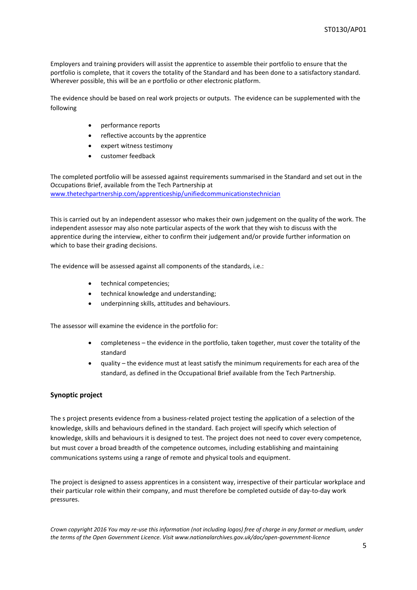Employers and training providers will assist the apprentice to assemble their portfolio to ensure that the portfolio is complete, that it covers the totality of the Standard and has been done to a satisfactory standard. Wherever possible, this will be an e portfolio or other electronic platform.

The evidence should be based on real work projects or outputs. The evidence can be supplemented with the following

- performance reports
- reflective accounts by the apprentice
- expert witness testimony
- customer feedback

The completed portfolio will be assessed against requirements summarised in the Standard and set out in the Occupations Brief, available from the Tech Partnership at [www.thetechpartnership.com/apprenticeship/unifiedcommunicationstechnician](http://www.thetechpartnership.com/apprenticeship/unifiedcommunicationstechnician)

This is carried out by an independent assessor who makes their own judgement on the quality of the work. The independent assessor may also note particular aspects of the work that they wish to discuss with the apprentice during the interview, either to confirm their judgement and/or provide further information on which to base their grading decisions.

The evidence will be assessed against all components of the standards, i.e.:

- technical competencies;
- technical knowledge and understanding;
- underpinning skills, attitudes and behaviours.

The assessor will examine the evidence in the portfolio for:

- completeness the evidence in the portfolio, taken together, must cover the totality of the standard
- quality the evidence must at least satisfy the minimum requirements for each area of the standard, as defined in the Occupational Brief available from the Tech Partnership.

## **Synoptic project**

The s project presents evidence from a business-related project testing the application of a selection of the knowledge, skills and behaviours defined in the standard. Each project will specify which selection of knowledge, skills and behaviours it is designed to test. The project does not need to cover every competence, but must cover a broad breadth of the competence outcomes, including establishing and maintaining communications systems using a range of remote and physical tools and equipment.

The project is designed to assess apprentices in a consistent way, irrespective of their particular workplace and their particular role within their company, and must therefore be completed outside of day-to-day work pressures.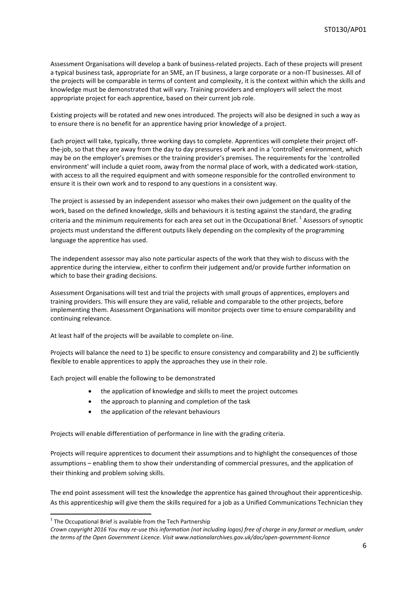Assessment Organisations will develop a bank of business-related projects. Each of these projects will present a typical business task, appropriate for an SME, an IT business, a large corporate or a non-IT businesses. All of the projects will be comparable in terms of content and complexity, it is the context within which the skills and knowledge must be demonstrated that will vary. Training providers and employers will select the most appropriate project for each apprentice, based on their current job role.

Existing projects will be rotated and new ones introduced. The projects will also be designed in such a way as to ensure there is no benefit for an apprentice having prior knowledge of a project.

Each project will take, typically, three working days to complete. Apprentices will complete their project offthe-job, so that they are away from the day to day pressures of work and in a 'controlled' environment, which may be on the employer's premises or the training provider's premises. The requirements for the `controlled environment' will include a quiet room, away from the normal place of work, with a dedicated work-station, with access to all the required equipment and with someone responsible for the controlled environment to ensure it is their own work and to respond to any questions in a consistent way.

The project is assessed by an independent assessor who makes their own judgement on the quality of the work, based on the defined knowledge, skills and behaviours it is testing against the standard, the grading criteria and the minimum requirements for each area set out in the Occupational Brief. <sup>1</sup> Assessors of synoptic projects must understand the different outputs likely depending on the complexity of the programming language the apprentice has used.

The independent assessor may also note particular aspects of the work that they wish to discuss with the apprentice during the interview, either to confirm their judgement and/or provide further information on which to base their grading decisions.

Assessment Organisations will test and trial the projects with small groups of apprentices, employers and training providers. This will ensure they are valid, reliable and comparable to the other projects, before implementing them. Assessment Organisations will monitor projects over time to ensure comparability and continuing relevance.

At least half of the projects will be available to complete on-line.

Projects will balance the need to 1) be specific to ensure consistency and comparability and 2) be sufficiently flexible to enable apprentices to apply the approaches they use in their role.

Each project will enable the following to be demonstrated

- the application of knowledge and skills to meet the project outcomes
- the approach to planning and completion of the task
- the application of the relevant behaviours

Projects will enable differentiation of performance in line with the grading criteria.

Projects will require apprentices to document their assumptions and to highlight the consequences of those assumptions – enabling them to show their understanding of commercial pressures, and the application of their thinking and problem solving skills.

The end point assessment will test the knowledge the apprentice has gained throughout their apprenticeship. As this apprenticeship will give them the skills required for a job as a Unified Communications Technician they

**.** 

 $1$  The Occupational Brief is available from the Tech Partnership

*Crown copyright 2016 You may re-use this information (not including logos) free of charge in any format or medium, under the terms of the Open Government Licence. Visit www.nationalarchives.gov.uk/doc/open-government-licence*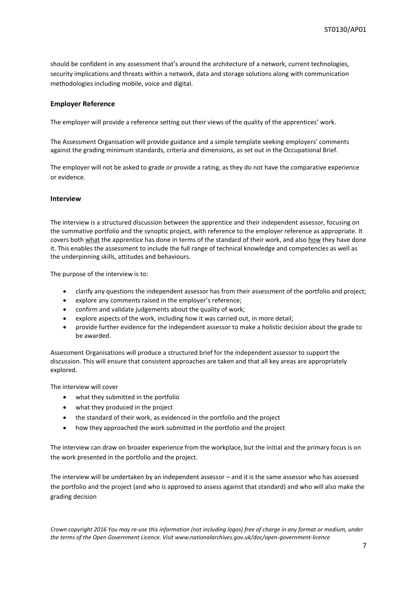should be confident in any assessment that's around the architecture of a network, current technologies, security implications and threats within a network, data and storage solutions along with communication methodologies including mobile, voice and digital.

## **Employer Reference**

The employer will provide a reference setting out their views of the quality of the apprentices' work.

The Assessment Organisation will provide guidance and a simple template seeking employers' comments against the grading minimum standards, criteria and dimensions, as set out in the Occupational Brief.

The employer will not be asked to grade or provide a rating, as they do not have the comparative experience or evidence.

## **Interview**

The interview is a structured discussion between the apprentice and their independent assessor, focusing on the summative portfolio and the synoptic project, with reference to the employer reference as appropriate. It covers both what the apprentice has done in terms of the standard of their work, and also how they have done it. This enables the assessment to include the full range of technical knowledge and competencies as well as the underpinning skills, attitudes and behaviours.

The purpose of the interview is to:

- clarify any questions the independent assessor has from their assessment of the portfolio and project;
- explore any comments raised in the employer's reference;
- confirm and validate judgements about the quality of work;
- explore aspects of the work, including how it was carried out, in more detail;
- provide further evidence for the independent assessor to make a holistic decision about the grade to be awarded.

Assessment Organisations will produce a structured brief for the independent assessor to support the discussion. This will ensure that consistent approaches are taken and that all key areas are appropriately explored.

The interview will cover

- what they submitted in the portfolio
- what they produced in the project
- the standard of their work, as evidenced in the portfolio and the project
- how they approached the work submitted in the portfolio and the project

The interview can draw on broader experience from the workplace, but the initial and the primary focus is on the work presented in the portfolio and the project.

The interview will be undertaken by an independent assessor – and it is the same assessor who has assessed the portfolio and the project (and who is approved to assess against that standard) and who will also make the grading decision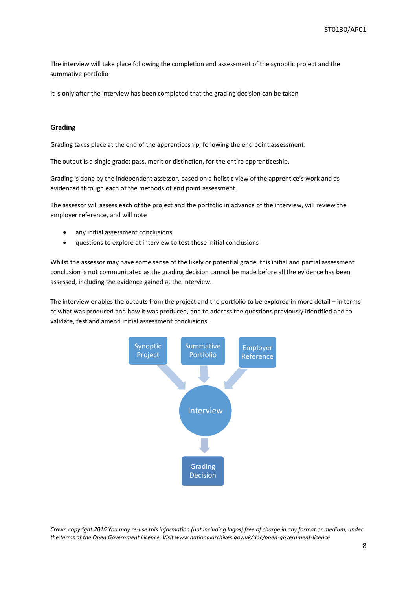The interview will take place following the completion and assessment of the synoptic project and the summative portfolio

It is only after the interview has been completed that the grading decision can be taken

## **Grading**

Grading takes place at the end of the apprenticeship, following the end point assessment.

The output is a single grade: pass, merit or distinction, for the entire apprenticeship.

Grading is done by the independent assessor, based on a holistic view of the apprentice's work and as evidenced through each of the methods of end point assessment.

The assessor will assess each of the project and the portfolio in advance of the interview, will review the employer reference, and will note

- any initial assessment conclusions
- questions to explore at interview to test these initial conclusions

Whilst the assessor may have some sense of the likely or potential grade, this initial and partial assessment conclusion is not communicated as the grading decision cannot be made before all the evidence has been assessed, including the evidence gained at the interview.

The interview enables the outputs from the project and the portfolio to be explored in more detail – in terms of what was produced and how it was produced, and to address the questions previously identified and to validate, test and amend initial assessment conclusions.

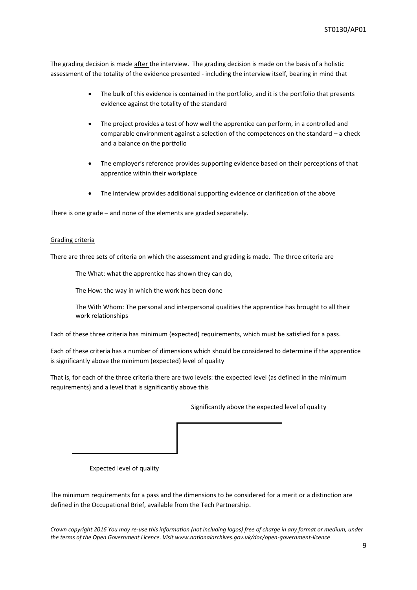The grading decision is made after the interview. The grading decision is made on the basis of a holistic assessment of the totality of the evidence presented - including the interview itself, bearing in mind that

- The bulk of this evidence is contained in the portfolio, and it is the portfolio that presents evidence against the totality of the standard
- The project provides a test of how well the apprentice can perform, in a controlled and comparable environment against a selection of the competences on the standard – a check and a balance on the portfolio
- The employer's reference provides supporting evidence based on their perceptions of that apprentice within their workplace
- The interview provides additional supporting evidence or clarification of the above

There is one grade – and none of the elements are graded separately.

#### Grading criteria

There are three sets of criteria on which the assessment and grading is made. The three criteria are

The What: what the apprentice has shown they can do,

The How: the way in which the work has been done

The With Whom: The personal and interpersonal qualities the apprentice has brought to all their work relationships

Each of these three criteria has minimum (expected) requirements, which must be satisfied for a pass.

Each of these criteria has a number of dimensions which should be considered to determine if the apprentice is significantly above the minimum (expected) level of quality

That is, for each of the three criteria there are two levels: the expected level (as defined in the minimum requirements) and a level that is significantly above this

Significantly above the expected level of quality

Expected level of quality

The minimum requirements for a pass and the dimensions to be considered for a merit or a distinction are defined in the Occupational Brief, available from the Tech Partnership.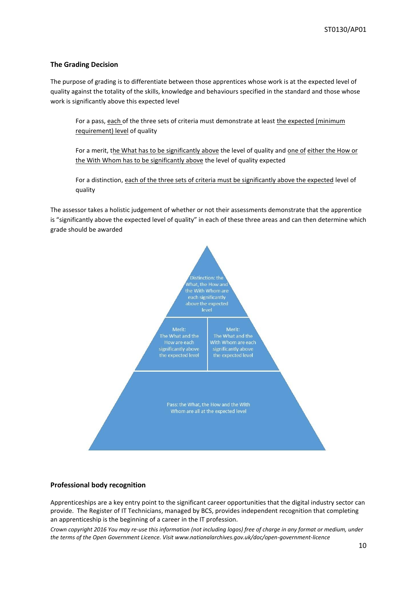## **The Grading Decision**

The purpose of grading is to differentiate between those apprentices whose work is at the expected level of quality against the totality of the skills, knowledge and behaviours specified in the standard and those whose work is significantly above this expected level

For a pass, each of the three sets of criteria must demonstrate at least the expected (minimum requirement) level of quality

For a merit, the What has to be significantly above the level of quality and one of either the How or the With Whom has to be significantly above the level of quality expected

For a distinction, each of the three sets of criteria must be significantly above the expected level of quality

The assessor takes a holistic judgement of whether or not their assessments demonstrate that the apprentice is "significantly above the expected level of quality" in each of these three areas and can then determine which grade should be awarded



#### **Professional body recognition**

Apprenticeships are a key entry point to the significant career opportunities that the digital industry sector can provide. The Register of IT Technicians, managed by BCS, provides independent recognition that completing an apprenticeship is the beginning of a career in the IT profession.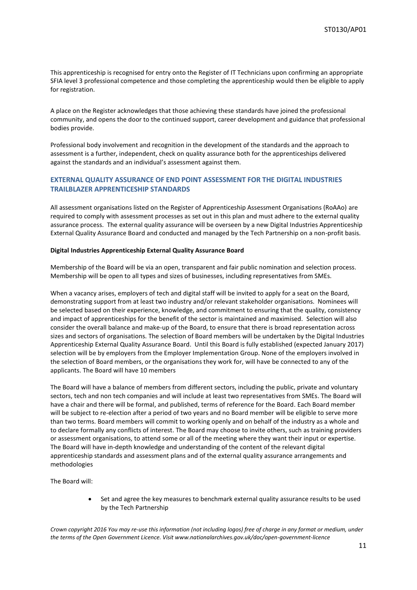This apprenticeship is recognised for entry onto the Register of IT Technicians upon confirming an appropriate SFIA level 3 professional competence and those completing the apprenticeship would then be eligible to apply for registration.

A place on the Register acknowledges that those achieving these standards have joined the professional community, and opens the door to the continued support, career development and guidance that professional bodies provide.

Professional body involvement and recognition in the development of the standards and the approach to assessment is a further, independent, check on quality assurance both for the apprenticeships delivered against the standards and an individual's assessment against them.

## **EXTERNAL QUALITY ASSURANCE OF END POINT ASSESSMENT FOR THE DIGITAL INDUSTRIES TRAILBLAZER APPRENTICESHIP STANDARDS**

All assessment organisations listed on the Register of Apprenticeship Assessment Organisations (RoAAo) are required to comply with assessment processes as set out in this plan and must adhere to the external quality assurance process. The external quality assurance will be overseen by a new Digital Industries Apprenticeship External Quality Assurance Board and conducted and managed by the Tech Partnership on a non-profit basis.

#### **Digital Industries Apprenticeship External Quality Assurance Board**

Membership of the Board will be via an open, transparent and fair public nomination and selection process. Membership will be open to all types and sizes of businesses, including representatives from SMEs.

When a vacancy arises, employers of tech and digital staff will be invited to apply for a seat on the Board, demonstrating support from at least two industry and/or relevant stakeholder organisations. Nominees will be selected based on their experience, knowledge, and commitment to ensuring that the quality, consistency and impact of apprenticeships for the benefit of the sector is maintained and maximised. Selection will also consider the overall balance and make-up of the Board, to ensure that there is broad representation across sizes and sectors of organisations. The selection of Board members will be undertaken by the Digital Industries Apprenticeship External Quality Assurance Board. Until this Board is fully established (expected January 2017) selection will be by employers from the Employer Implementation Group. None of the employers involved in the selection of Board members, or the organisations they work for, will have be connected to any of the applicants. The Board will have 10 members

The Board will have a balance of members from different sectors, including the public, private and voluntary sectors, tech and non tech companies and will include at least two representatives from SMEs. The Board will have a chair and there will be formal, and published, terms of reference for the Board. Each Board member will be subject to re-election after a period of two years and no Board member will be eligible to serve more than two terms. Board members will commit to working openly and on behalf of the industry as a whole and to declare formally any conflicts of interest. The Board may choose to invite others, such as training providers or assessment organisations, to attend some or all of the meeting where they want their input or expertise. The Board will have in-depth knowledge and understanding of the content of the relevant digital apprenticeship standards and assessment plans and of the external quality assurance arrangements and methodologies

The Board will:

 Set and agree the key measures to benchmark external quality assurance results to be used by the Tech Partnership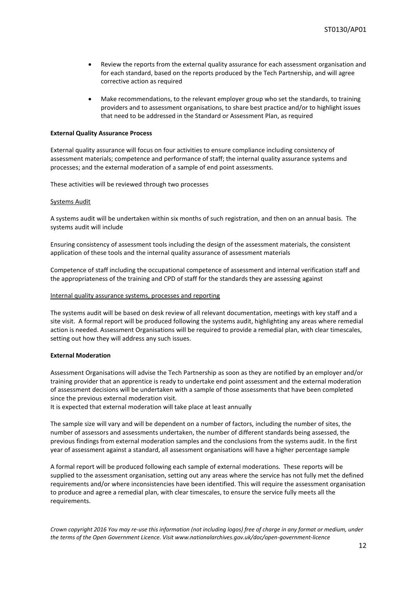- Review the reports from the external quality assurance for each assessment organisation and for each standard, based on the reports produced by the Tech Partnership, and will agree corrective action as required
- Make recommendations, to the relevant employer group who set the standards, to training providers and to assessment organisations, to share best practice and/or to highlight issues that need to be addressed in the Standard or Assessment Plan, as required

#### **External Quality Assurance Process**

External quality assurance will focus on four activities to ensure compliance including consistency of assessment materials; competence and performance of staff; the internal quality assurance systems and processes; and the external moderation of a sample of end point assessments.

These activities will be reviewed through two processes

#### Systems Audit

A systems audit will be undertaken within six months of such registration, and then on an annual basis. The systems audit will include

Ensuring consistency of assessment tools including the design of the assessment materials, the consistent application of these tools and the internal quality assurance of assessment materials

Competence of staff including the occupational competence of assessment and internal verification staff and the appropriateness of the training and CPD of staff for the standards they are assessing against

#### Internal quality assurance systems, processes and reporting

The systems audit will be based on desk review of all relevant documentation, meetings with key staff and a site visit. A formal report will be produced following the systems audit, highlighting any areas where remedial action is needed. Assessment Organisations will be required to provide a remedial plan, with clear timescales, setting out how they will address any such issues.

#### **External Moderation**

Assessment Organisations will advise the Tech Partnership as soon as they are notified by an employer and/or training provider that an apprentice is ready to undertake end point assessment and the external moderation of assessment decisions will be undertaken with a sample of those assessments that have been completed since the previous external moderation visit.

It is expected that external moderation will take place at least annually

The sample size will vary and will be dependent on a number of factors, including the number of sites, the number of assessors and assessments undertaken, the number of different standards being assessed, the previous findings from external moderation samples and the conclusions from the systems audit. In the first year of assessment against a standard, all assessment organisations will have a higher percentage sample

A formal report will be produced following each sample of external moderations. These reports will be supplied to the assessment organisation, setting out any areas where the service has not fully met the defined requirements and/or where inconsistencies have been identified. This will require the assessment organisation to produce and agree a remedial plan, with clear timescales, to ensure the service fully meets all the requirements.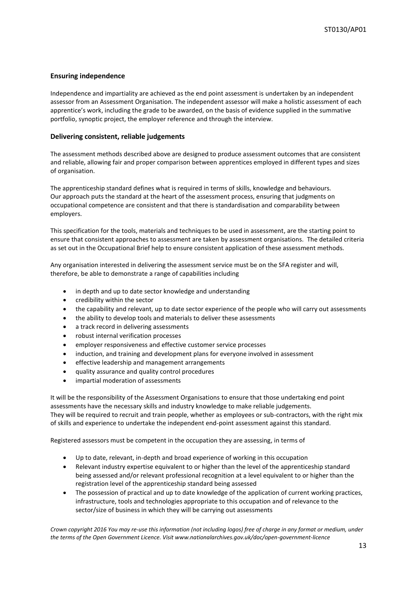## **Ensuring independence**

Independence and impartiality are achieved as the end point assessment is undertaken by an independent assessor from an Assessment Organisation. The independent assessor will make a holistic assessment of each apprentice's work, including the grade to be awarded, on the basis of evidence supplied in the summative portfolio, synoptic project, the employer reference and through the interview.

## **Delivering consistent, reliable judgements**

The assessment methods described above are designed to produce assessment outcomes that are consistent and reliable, allowing fair and proper comparison between apprentices employed in different types and sizes of organisation.

The apprenticeship standard defines what is required in terms of skills, knowledge and behaviours. Our approach puts the standard at the heart of the assessment process, ensuring that judgments on occupational competence are consistent and that there is standardisation and comparability between employers.

This specification for the tools, materials and techniques to be used in assessment, are the starting point to ensure that consistent approaches to assessment are taken by assessment organisations. The detailed criteria as set out in the Occupational Brief help to ensure consistent application of these assessment methods.

Any organisation interested in delivering the assessment service must be on the SFA register and will, therefore, be able to demonstrate a range of capabilities including

- in depth and up to date sector knowledge and understanding
- credibility within the sector
- the capability and relevant, up to date sector experience of the people who will carry out assessments
- the ability to develop tools and materials to deliver these assessments
- a track record in delivering assessments
- robust internal verification processes
- employer responsiveness and effective customer service processes
- induction, and training and development plans for everyone involved in assessment
- effective leadership and management arrangements
- quality assurance and quality control procedures
- impartial moderation of assessments

It will be the responsibility of the Assessment Organisations to ensure that those undertaking end point assessments have the necessary skills and industry knowledge to make reliable judgements. They will be required to recruit and train people, whether as employees or sub-contractors, with the right mix of skills and experience to undertake the independent end-point assessment against this standard.

Registered assessors must be competent in the occupation they are assessing, in terms of

- Up to date, relevant, in-depth and broad experience of working in this occupation
- Relevant industry expertise equivalent to or higher than the level of the apprenticeship standard being assessed and/or relevant professional recognition at a level equivalent to or higher than the registration level of the apprenticeship standard being assessed
- The possession of practical and up to date knowledge of the application of current working practices, infrastructure, tools and technologies appropriate to this occupation and of relevance to the sector/size of business in which they will be carrying out assessments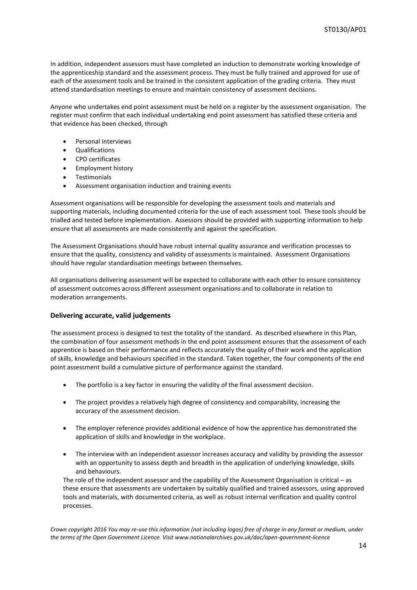In addition, independent assessors must have completed an induction to demonstrate working knowledge of the apprenticeship standard and the assessment process. They must be fully trained and approved for use of each of the assessment tools and be trained in the consistent application of the grading criteria. They must attend standardisation meetings to ensure and maintain consistency of assessment decisions.

Anyone who undertakes end point assessment must be held on a register by the assessment organisation. The register must confirm that each individual undertaking end point assessment has satisfied these criteria and that evidence has been checked, through

- Personal interviews
- Qualifications
- CPD certificates
- Employment history
- Testimonials
- Assessment organisation induction and training events

Assessment organisations will be responsible for developing the assessment tools and materials and supporting materials, including documented criteria for the use of each assessment tool. These tools should be trialled and tested before implementation. Assessors should be provided with supporting information to help ensure that all assessments are made consistently and against the specification.

The Assessment Organisations should have robust internal quality assurance and verification processes to ensure that the quality, consistency and validity of assessments is maintained. Assessment Organisations should have regular standardisation meetings between themselves.

All organisations delivering assessment will be expected to collaborate with each other to ensure consistency of assessment outcomes across different assessment organisations and to collaborate in relation to moderation arrangements.

## **Delivering accurate, valid judgements**

The assessment process is designed to test the totality of the standard. As described elsewhere in this Plan, the combination of four assessment methods in the end point assessment ensures that the assessment of each apprentice is based on their performance and reflects accurately the quality of their work and the application of skills, knowledge and behaviours specified in the standard. Taken together, the four components of the end point assessment build a cumulative picture of performance against the standard.

- The portfolio is a key factor in ensuring the validity of the final assessment decision.
- The project provides a relatively high degree of consistency and comparability, increasing the accuracy of the assessment decision.
- The employer reference provides additional evidence of how the apprentice has demonstrated the application of skills and knowledge in the workplace.
- The interview with an independent assessor increases accuracy and validity by providing the assessor with an opportunity to assess depth and breadth in the application of underlying knowledge, skills and behaviours.

The role of the independent assessor and the capability of the Assessment Organisation is critical – as these ensure that assessments are undertaken by suitably qualified and trained assessors, using approved tools and materials, with documented criteria, as well as robust internal verification and quality control processes.